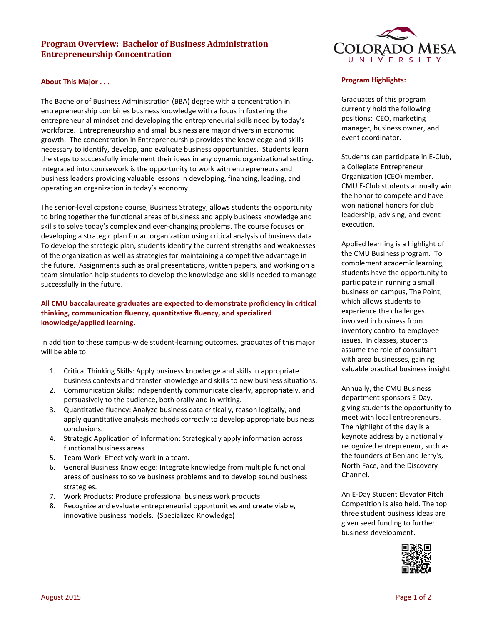# **Program Overview: Bachelor of Business Administration Entrepreneurship Concentration**

## **About This Major . . .**

The Bachelor of Business Administration (BBA) degree with a concentration in entrepreneurship combines business knowledge with a focus in fostering the entrepreneurial mindset and developing the entrepreneurial skills need by today's workforce. Entrepreneurship and small business are major drivers in economic growth. The concentration in Entrepreneurship provides the knowledge and skills necessary to identify, develop, and evaluate business opportunities. Students learn the steps to successfully implement their ideas in any dynamic organizational setting. Integrated into coursework is the opportunity to work with entrepreneurs and business leaders providing valuable lessons in developing, financing, leading, and operating an organization in today's economy.

The senior-level capstone course, Business Strategy, allows students the opportunity to bring together the functional areas of business and apply business knowledge and skills to solve today's complex and ever-changing problems. The course focuses on developing a strategic plan for an organization using critical analysis of business data. To develop the strategic plan, students identify the current strengths and weaknesses of the organization as well as strategies for maintaining a competitive advantage in the future. Assignments such as oral presentations, written papers, and working on a team simulation help students to develop the knowledge and skills needed to manage successfully in the future.

# **All CMU baccalaureate graduates are expected to demonstrate proficiency in critical thinking, communication fluency, quantitative fluency, and specialized knowledge/applied learning.**

In addition to these campus-wide student-learning outcomes, graduates of this major will be able to:

- 1. Critical Thinking Skills: Apply business knowledge and skills in appropriate business contexts and transfer knowledge and skills to new business situations.
- 2. Communication Skills: Independently communicate clearly, appropriately, and persuasively to the audience, both orally and in writing.
- 3. Quantitative fluency: Analyze business data critically, reason logically, and apply quantitative analysis methods correctly to develop appropriate business conclusions.
- 4. Strategic Application of Information: Strategically apply information across functional business areas.
- 5. Team Work: Effectively work in a team.
- 6. General Business Knowledge: Integrate knowledge from multiple functional areas of business to solve business problems and to develop sound business strategies.
- 7. Work Products: Produce professional business work products.
- 8. Recognize and evaluate entrepreneurial opportunities and create viable, innovative business models. (Specialized Knowledge)



## **Program Highlights:**

Graduates of this program currently hold the following positions: CEO, marketing manager, business owner, and event coordinator.

Students can participate in E-Club, a Collegiate Entrepreneur Organization (CEO) member. CMU E-Club students annually win the honor to compete and have won national honors for club leadership, advising, and event execution.

Applied learning is a highlight of the CMU Business program. To complement academic learning, students have the opportunity to participate in running a small business on campus, The Point, which allows students to experience the challenges involved in business from inventory control to employee issues. In classes, students assume the role of consultant with area businesses, gaining valuable practical business insight.

Annually, the CMU Business department sponsors E-Day, giving students the opportunity to meet with local entrepreneurs. The highlight of the day is a keynote address by a nationally recognized entrepreneur, such as the founders of Ben and Jerry's, North Face, and the Discovery Channel.

An E-Day Student Elevator Pitch Competition is also held. The top three student business ideas are given seed funding to further business development.